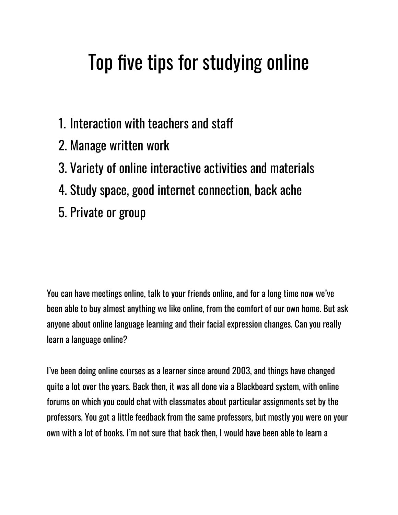# Top five tips for studying online

- 1. Interaction with teachers and sta
- 2. Manage written work
- 3. Variety of online interactive activities and materials
- 4. Study space, good internet connection, back ache
- 5. Private or group

You can have meetings online, talk to your friends online, and for a long time now we've been able to buy almost anything we like online, from the comfort of our own home. But ask anyone about online language learning and their facial expression changes. Can you really learn a language online?

I've been doing online courses as a learner since around 2003, and things have changed quite a lot over the years. Back then, it was all done via a Blackboard system, with online forums on which you could chat with classmates about particular assignments set by the professors. You got a little feedback from the same professors, but mostly you were on your own with a lot of books. I'm not sure that back then, I would have been able to learn a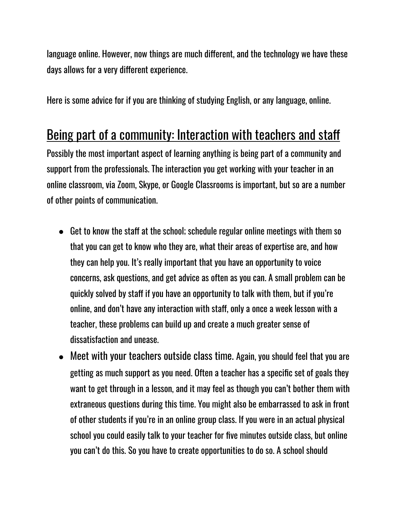language online. However, now things are much different, and the technology we have these days allows for a very different experience.

Here is some advice for if you are thinking of studying English, or any language, online.

### Being part of a community: Interaction with teachers and staff

Possibly the most important aspect of learning anything is being part of a community and support from the professionals. The interaction you get working with your teacher in an online classroom, via Zoom, Skype, or Google Classrooms is important, but so are a number of other points of communication.

- $\bullet$  Get to know the staff at the school; schedule regular online meetings with them so that you can get to know who they are, what their areas of expertise are, and how they can help you. It's really important that you have an opportunity to voice concerns, ask questions, and get advice as often as you can. A small problem can be quickly solved by staff if you have an opportunity to talk with them, but if you're online, and don't have any interaction with staff, only a once a week lesson with a teacher, these problems can build up and create a much greater sense of dissatisfaction and unease.
- Meet with your teachers outside class time. Again, you should feel that you are getting as much support as you need. Often a teacher has a specific set of goals they want to get through in a lesson, and it may feel as though you can't bother them with extraneous questions during this time. You might also be embarrassed to ask in front of other students if you're in an online group class. If you were in an actual physical school you could easily talk to your teacher for five minutes outside class, but online you can't do this. So you have to create opportunities to do so. A school should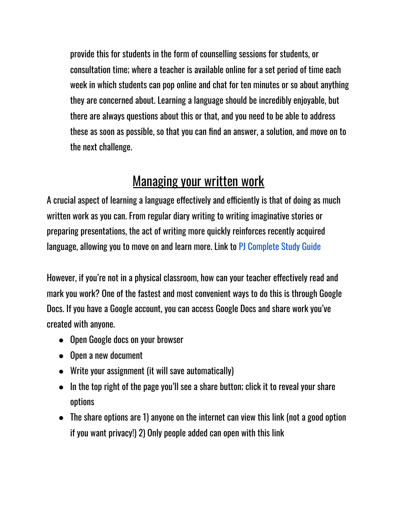provide this for students in the form of counselling sessions for students, or consultation time; where a teacher is available online for a set period of time each week in which students can pop online and chat for ten minutes or so about anything they are concerned about. Learning a language should be incredibly enjoyable, but there are always questions about this or that, and you need to be able to address these as soon as possible, so that you can find an answer, a solution, and move on to the next challenge.

### Managing your written work

A crucial aspect of learning a language effectively and efficiently is that of doing as much written work as you can. From regular diary writing to writing imaginative stories or preparing presentations, the act of writing more quickly reinforces recently acquired language, allowing you to move on and learn more. Link to PJ Complete Study Guide

However, if you're not in a physical classroom, how can your teacher effectively read and mark you work? One of the fastest and most convenient ways to do this is through Google Docs. If you have a Google account, you can access Google Docs and share work you've created with anyone.

- Open Google docs on your browser
- Open a new document
- Write your assignment (it will save automatically)
- In the top right of the page you'll see a share button; click it to reveal your share options
- The share options are 1) anyone on the internet can view this link (not a good option if you want privacy!) 2) Only people added can open with this link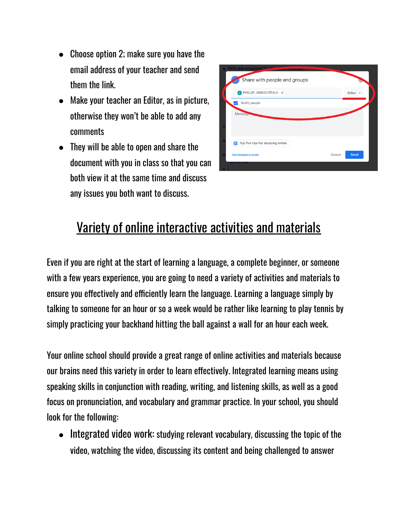- Choose option 2; make sure you have the email address of your teacher and send them the link.
- Make your teacher an Editor, as in picture, otherwise they won't be able to add any comments
- They will be able to open and share the document with you in class so that you can both view it at the same time and discuss any issues you both want to discuss.

| • Write your assignment (it will<br>Share with people and groups |                |  |
|------------------------------------------------------------------|----------------|--|
| P PHILLIP JAMESお問合せ ×                                            | Editor -       |  |
| Notify people                                                    |                |  |
| Message                                                          |                |  |
|                                                                  |                |  |
| Top five tips for studying online<br>E                           |                |  |
| <b>Send feedback to Google</b>                                   | Send<br>Cancel |  |
|                                                                  |                |  |

## Variety of online interactive activities and materials

Even if you are right at the start of learning a language, a complete beginner, or someone with a few years experience, you are going to need a variety of activities and materials to ensure you effectively and efficiently learn the language. Learning a language simply by talking to someone for an hour or so a week would be rather like learning to play tennis by simply practicing your backhand hitting the ball against a wall for an hour each week.

Your online school should provide a great range of online activities and materials because our brains need this variety in order to learn effectively. Integrated learning means using speaking skills in conjunction with reading, writing, and listening skills, as well as a good focus on pronunciation, and vocabulary and grammar practice. In your school, you should look for the following:

● Integrated video work: studying relevant vocabulary, discussing the topic of the video, watching the video, discussing its content and being challenged to answer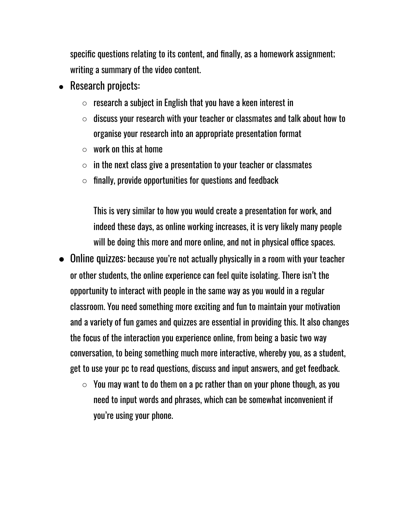specific questions relating to its content, and finally, as a homework assignment; writing a summary of the video content.

- Research projects:
	- $\circ$  research a subject in English that you have a keen interest in
	- $\circ$  discuss your research with your teacher or classmates and talk about how to organise your research into an appropriate presentation format
	- $\circ$  work on this at home
	- $\circ$  in the next class give a presentation to your teacher or classmates
	- $\circ$  finally, provide opportunities for questions and feedback

This is very similar to how you would create a presentation for work, and indeed these days, as online working increases, it is very likely many people will be doing this more and more online, and not in physical office spaces.

- Online quizzes: because you're not actually physically in a room with your teacher or other students, the online experience can feel quite isolating. There isn't the opportunity to interact with people in the same way as you would in a regular classroom. You need something more exciting and fun to maintain your motivation and a variety of fun games and quizzes are essential in providing this. It also changes the focus of the interaction you experience online, from being a basic two way conversation, to being something much more interactive, whereby you, as a student, get to use your pc to read questions, discuss and input answers, and get feedback.
	- $\circ$  You may want to do them on a pc rather than on your phone though, as you need to input words and phrases, which can be somewhat inconvenient if you're using your phone.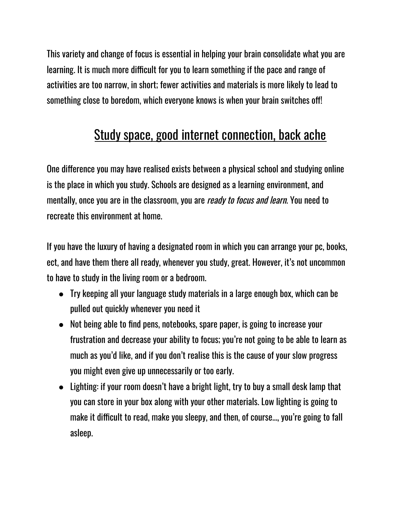This variety and change of focus is essential in helping your brain consolidate what you are learning. It is much more difficult for you to learn something if the pace and range of activities are too narrow, in short; fewer activities and materials is more likely to lead to something close to boredom, which everyone knows is when your brain switches off!

## Study space, good internet connection, back ache

One difference you may have realised exists between a physical school and studying online is the place in which you study. Schools are designed as a learning environment, and mentally, once you are in the classroom, you are *ready to focus and learn*. You need to recreate this environment at home.

If you have the luxury of having a designated room in which you can arrange your pc, books, ect, and have them there all ready, whenever you study, great. However, it's not uncommon to have to study in the living room or a bedroom.

- Try keeping all your language study materials in a large enough box, which can be pulled out quickly whenever you need it
- Not being able to find pens, notebooks, spare paper, is going to increase your frustration and decrease your ability to focus; you're not going to be able to learn as much as you'd like, and if you don't realise this is the cause of your slow progress you might even give up unnecessarily or too early.
- Lighting: if your room doesn't have a bright light, try to buy a small desk lamp that you can store in your box along with your other materials. Low lighting is going to make it difficult to read, make you sleepy, and then, of course..., you're going to fall asleep.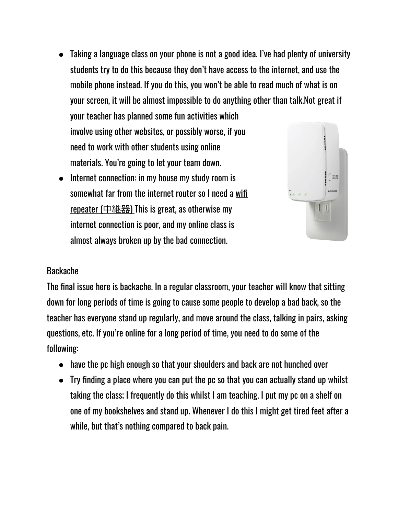- Taking a language class on your phone is not a good idea. I've had plenty of university students try to do this because they don't have access to the internet, and use the mobile phone instead. If you do this, you won't be able to read much of what is on your screen, it will be almost impossible to do anything other than talk.Not great if your teacher has planned some fun activities which involve using other websites, or possibly worse, if you need to work with other students using online materials. You're going to let your team down.
- Internet connection: in my house my study room is somewhat far from the internet router so I need a [wifi](https://www.amazon.co.jp/s?k=%E4%B8%AD%E7%B6%99+%E5%99%A8&adgrpid=53369111516&gclid=CjwKCAiA8Jf-BRB-EiwAWDtEGoZv3dobg-fJytGE_36sYkB62cACo9P3jTcqA14utkx9qliuCvr7ABoCAIYQAvD_BwE&hvadid=338568742955&hvdev=c&hvlocphy=1009519&hvnetw=g&hvqmt=e&hvrand=2151902290515188300&hvtargid=kwd-380120718847&hydadcr=23281_11077959&jp-ad-ap=0&tag=googhydr-22&ref=pd_sl_34cfwq34dk_e) [repeater](https://www.amazon.co.jp/s?k=%E4%B8%AD%E7%B6%99+%E5%99%A8&adgrpid=53369111516&gclid=CjwKCAiA8Jf-BRB-EiwAWDtEGoZv3dobg-fJytGE_36sYkB62cACo9P3jTcqA14utkx9qliuCvr7ABoCAIYQAvD_BwE&hvadid=338568742955&hvdev=c&hvlocphy=1009519&hvnetw=g&hvqmt=e&hvrand=2151902290515188300&hvtargid=kwd-380120718847&hydadcr=23281_11077959&jp-ad-ap=0&tag=googhydr-22&ref=pd_sl_34cfwq34dk_e)  $($ 中継器) This is great, as otherwise my internet connection is poor, and my online class is almost always broken up by the bad connection.



#### Backache

The final issue here is backache. In a regular classroom, your teacher will know that sitting down for long periods of time is going to cause some people to develop a bad back, so the teacher has everyone stand up regularly, and move around the class, talking in pairs, asking questions, etc. If you're online for a long period of time, you need to do some of the following:

- have the pc high enough so that your shoulders and back are not hunched over
- $\bullet$  Try finding a place where you can put the pc so that you can actually stand up whilst taking the class; I frequently do this whilst I am teaching. I put my pc on a shelf on one of my bookshelves and stand up. Whenever I do this I might get tired feet after a while, but that's nothing compared to back pain.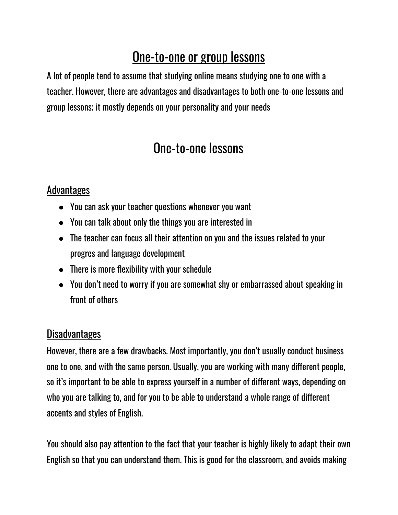## One-to-one or group lessons

A lot of people tend to assume that studying online means studying one to one with a teacher. However, there are advantages and disadvantages to both one-to-one lessons and group lessons; it mostly depends on your personality and your needs

### One-to-one lessons

#### Advantages

- You can ask your teacher questions whenever you want
- You can talk about only the things you are interested in
- The teacher can focus all their attention on you and the issues related to your progres and language development
- There is more flexibility with your schedule
- You don't need to worry if you are somewhat shy or embarrassed about speaking in front of others

#### Disadvantages

However, there are a few drawbacks. Most importantly, you don't usually conduct business one to one, and with the same person. Usually, you are working with many different people, so it's important to be able to express yourself in a number of different ways, depending on who you are talking to, and for you to be able to understand a whole range of different accents and styles of English.

You should also pay attention to the fact that your teacher is highly likely to adapt their own English so that you can understand them. This is good for the classroom, and avoids making